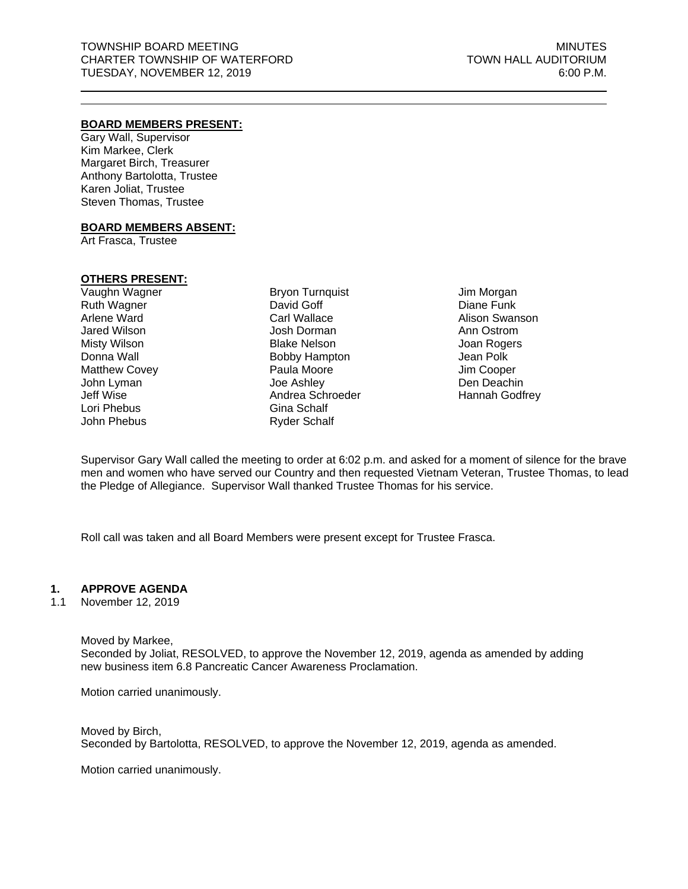## **BOARD MEMBERS PRESENT:**

Gary Wall, Supervisor Kim Markee, Clerk Margaret Birch, Treasurer Anthony Bartolotta, Trustee Karen Joliat, Trustee Steven Thomas, Trustee

## **BOARD MEMBERS ABSENT:**

Art Frasca, Trustee

# **OTHERS PRESENT:**

Vaughn Wagner Ruth Wagner Arlene Ward Jared Wilson Misty Wilson Donna Wall Matthew Covey John Lyman Jeff Wise Lori Phebus John Phebus

Bryon Turnquist David Goff Carl Wallace Josh Dorman Blake Nelson Bobby Hampton Paula Moore Joe Ashley Andrea Schroeder Gina Schalf Ryder Schalf

Jim Morgan Diane Funk Alison Swanson Ann Ostrom Joan Rogers Jean Polk Jim Cooper Den Deachin Hannah Godfrey

Supervisor Gary Wall called the meeting to order at 6:02 p.m. and asked for a moment of silence for the brave men and women who have served our Country and then requested Vietnam Veteran, Trustee Thomas, to lead the Pledge of Allegiance. Supervisor Wall thanked Trustee Thomas for his service.

Roll call was taken and all Board Members were present except for Trustee Frasca.

# **1. APPROVE AGENDA**

1.1 November 12, 2019

Moved by Markee, Seconded by Joliat, RESOLVED, to approve the November 12, 2019, agenda as amended by adding new business item 6.8 Pancreatic Cancer Awareness Proclamation.

Motion carried unanimously.

Moved by Birch, Seconded by Bartolotta, RESOLVED, to approve the November 12, 2019, agenda as amended.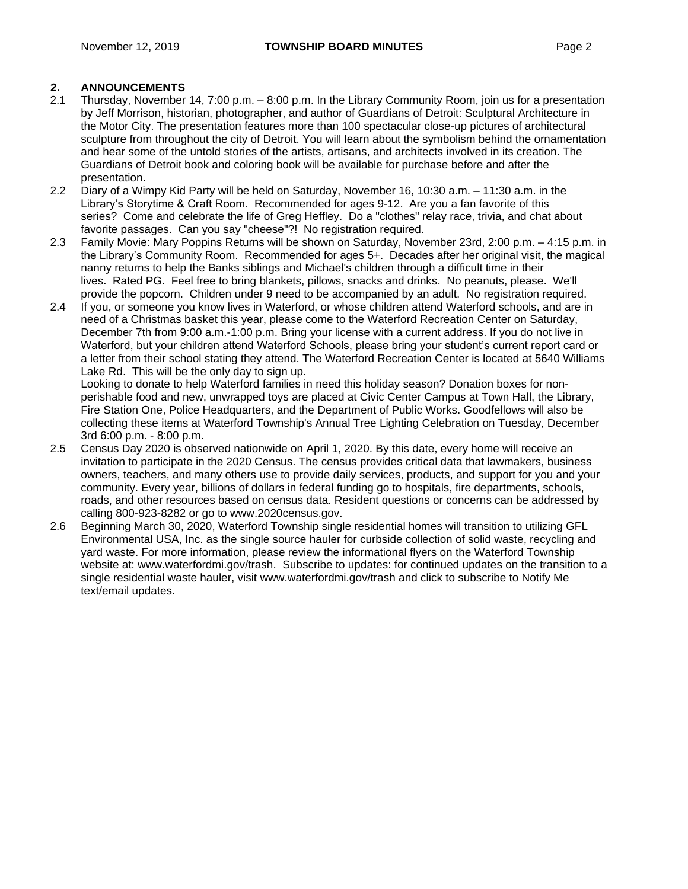# **2. ANNOUNCEMENTS**

- 2.1 Thursday, November 14, 7:00 p.m. 8:00 p.m. In the Library Community Room, join us for a presentation by Jeff Morrison, historian, photographer, and author of Guardians of Detroit: Sculptural Architecture in the Motor City. The presentation features more than 100 spectacular close-up pictures of architectural sculpture from throughout the city of Detroit. You will learn about the symbolism behind the ornamentation and hear some of the untold stories of the artists, artisans, and architects involved in its creation. The Guardians of Detroit book and coloring book will be available for purchase before and after the presentation.
- 2.2 Diary of a Wimpy Kid Party will be held on Saturday, November 16, 10:30 a.m. 11:30 a.m. in the Library's Storytime & Craft Room. Recommended for ages 9-12. Are you a fan favorite of this series? Come and celebrate the life of Greg Heffley. Do a "clothes" relay race, trivia, and chat about favorite passages. Can you say "cheese"?! No registration required.
- 2.3 Family Movie: Mary Poppins Returns will be shown on Saturday, November 23rd, 2:00 p.m. 4:15 p.m. in the Library's Community Room. Recommended for ages 5+. Decades after her original visit, the magical nanny returns to help the Banks siblings and Michael's children through a difficult time in their lives. Rated PG. Feel free to bring blankets, pillows, snacks and drinks. No peanuts, please. We'll provide the popcorn. Children under 9 need to be accompanied by an adult. No registration required.
- 2.4 If you, or someone you know lives in Waterford, or whose children attend Waterford schools, and are in need of a Christmas basket this year, please come to the Waterford Recreation Center on Saturday, December 7th from 9:00 a.m.-1:00 p.m. Bring your license with a current address. If you do not live in Waterford, but your children attend Waterford Schools, please bring your student's current report card or a letter from their school stating they attend. The Waterford Recreation Center is located at 5640 Williams Lake Rd. This will be the only day to sign up.

Looking to donate to help Waterford families in need this holiday season? Donation boxes for nonperishable food and new, unwrapped toys are placed at Civic Center Campus at Town Hall, the Library, Fire Station One, Police Headquarters, and the Department of Public Works. Goodfellows will also be collecting these items at Waterford Township's Annual Tree Lighting Celebration on Tuesday, December 3rd 6:00 p.m. - 8:00 p.m.

- 2.5 Census Day 2020 is observed nationwide on April 1, 2020. By this date, every home will receive an invitation to participate in the 2020 Census. The census provides critical data that lawmakers, business owners, teachers, and many others use to provide daily services, products, and support for you and your community. Every year, billions of dollars in federal funding go to hospitals, fire departments, schools, roads, and other resources based on census data. Resident questions or concerns can be addressed by calling 800-923-8282 or go to www.2020census.gov.
- 2.6 Beginning March 30, 2020, Waterford Township single residential homes will transition to utilizing GFL Environmental USA, Inc. as the single source hauler for curbside collection of solid waste, recycling and yard waste. For more information, please review the informational flyers on the Waterford Township website at: www.waterfordmi.gov/trash. Subscribe to updates: for continued updates on the transition to a single residential waste hauler, visit www.waterfordmi.gov/trash and click to subscribe to Notify Me text/email updates.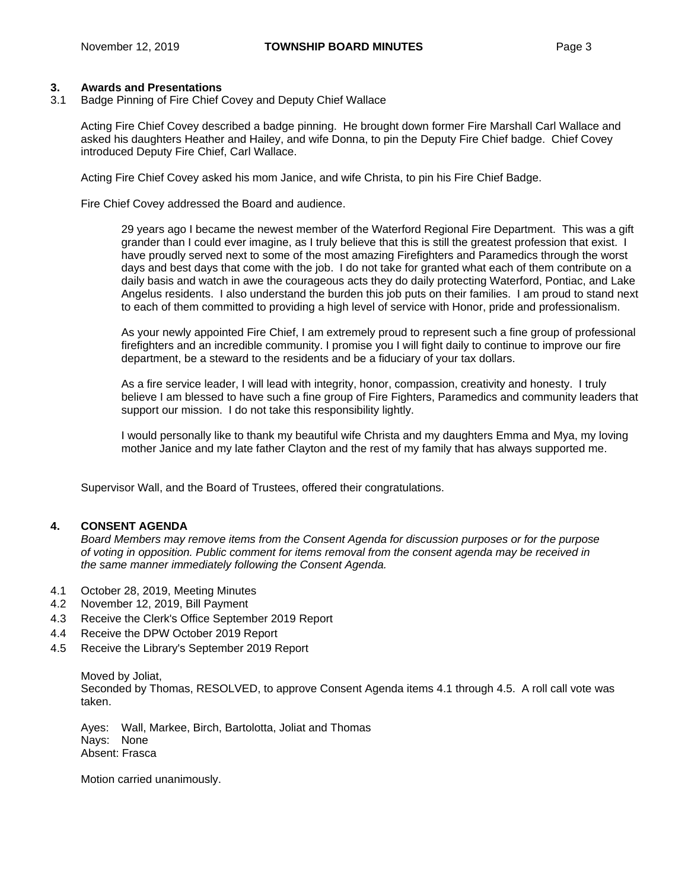# **3. Awards and Presentations**

3.1 Badge Pinning of Fire Chief Covey and Deputy Chief Wallace

Acting Fire Chief Covey described a badge pinning. He brought down former Fire Marshall Carl Wallace and asked his daughters Heather and Hailey, and wife Donna, to pin the Deputy Fire Chief badge. Chief Covey introduced Deputy Fire Chief, Carl Wallace.

Acting Fire Chief Covey asked his mom Janice, and wife Christa, to pin his Fire Chief Badge.

Fire Chief Covey addressed the Board and audience.

29 years ago I became the newest member of the Waterford Regional Fire Department. This was a gift grander than I could ever imagine, as I truly believe that this is still the greatest profession that exist. I have proudly served next to some of the most amazing Firefighters and Paramedics through the worst days and best days that come with the job. I do not take for granted what each of them contribute on a daily basis and watch in awe the courageous acts they do daily protecting Waterford, Pontiac, and Lake Angelus residents. I also understand the burden this job puts on their families. I am proud to stand next to each of them committed to providing a high level of service with Honor, pride and professionalism.

As your newly appointed Fire Chief, I am extremely proud to represent such a fine group of professional firefighters and an incredible community. I promise you I will fight daily to continue to improve our fire department, be a steward to the residents and be a fiduciary of your tax dollars.

As a fire service leader, I will lead with integrity, honor, compassion, creativity and honesty. I truly believe I am blessed to have such a fine group of Fire Fighters, Paramedics and community leaders that support our mission. I do not take this responsibility lightly.

I would personally like to thank my beautiful wife Christa and my daughters Emma and Mya, my loving mother Janice and my late father Clayton and the rest of my family that has always supported me.

Supervisor Wall, and the Board of Trustees, offered their congratulations.

# **4. CONSENT AGENDA**

*Board Members may remove items from the Consent Agenda for discussion purposes or for the purpose of voting in opposition. Public comment for items removal from the consent agenda may be received in the same manner immediately following the Consent Agenda.*

- 4.1 October 28, 2019, Meeting Minutes
- 4.2 November 12, 2019, Bill Payment
- 4.3 Receive the Clerk's Office September 2019 Report
- 4.4 Receive the DPW October 2019 Report
- 4.5 Receive the Library's September 2019 Report

Moved by Joliat, Seconded by Thomas, RESOLVED, to approve Consent Agenda items 4.1 through 4.5. A roll call vote was taken.

Ayes: Wall, Markee, Birch, Bartolotta, Joliat and Thomas Nays: None Absent: Frasca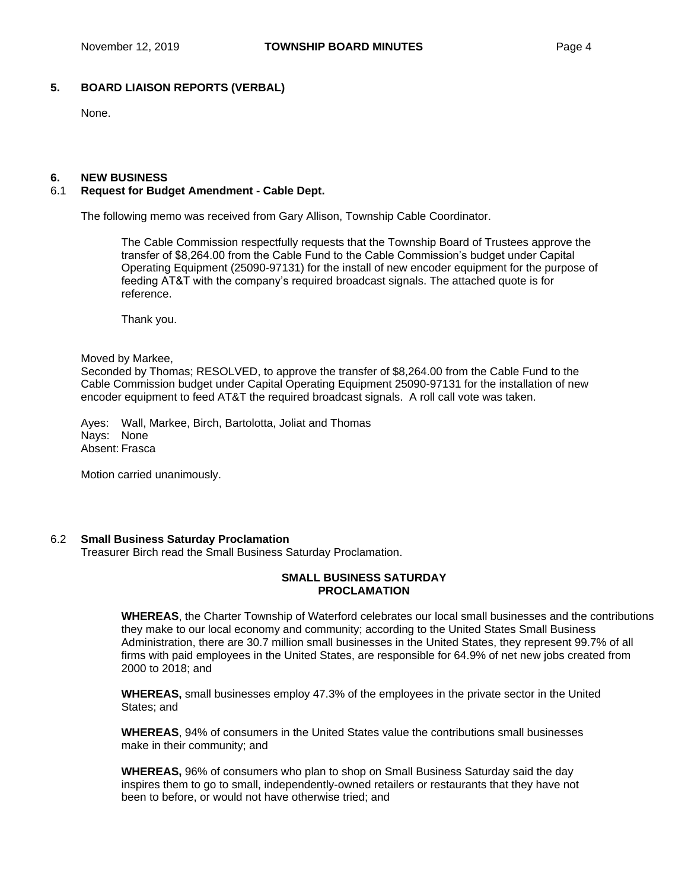# **5. BOARD LIAISON REPORTS (VERBAL)**

None.

#### **6. NEW BUSINESS**

## 6.1 **Request for Budget Amendment - Cable Dept.**

The following memo was received from Gary Allison, Township Cable Coordinator.

The Cable Commission respectfully requests that the Township Board of Trustees approve the transfer of \$8,264.00 from the Cable Fund to the Cable Commission's budget under Capital Operating Equipment (25090-97131) for the install of new encoder equipment for the purpose of feeding AT&T with the company's required broadcast signals. The attached quote is for reference.

Thank you.

#### Moved by Markee,

Seconded by Thomas; RESOLVED, to approve the transfer of \$8,264.00 from the Cable Fund to the Cable Commission budget under Capital Operating Equipment 25090-97131 for the installation of new encoder equipment to feed AT&T the required broadcast signals. A roll call vote was taken.

Ayes: Wall, Markee, Birch, Bartolotta, Joliat and Thomas Nays: None Absent: Frasca

Motion carried unanimously.

## 6.2 **Small Business Saturday Proclamation**

Treasurer Birch read the Small Business Saturday Proclamation.

## **SMALL BUSINESS SATURDAY PROCLAMATION**

**WHEREAS**, the Charter Township of Waterford celebrates our local small businesses and the contributions they make to our local economy and community; according to the United States Small Business Administration, there are 30.7 million small businesses in the United States, they represent 99.7% of all firms with paid employees in the United States, are responsible for 64.9% of net new jobs created from 2000 to 2018; and

**WHEREAS,** small businesses employ 47.3% of the employees in the private sector in the United States; and

**WHEREAS**, 94% of consumers in the United States value the contributions small businesses make in their community; and

**WHEREAS,** 96% of consumers who plan to shop on Small Business Saturday said the day inspires them to go to small, independently-owned retailers or restaurants that they have not been to before, or would not have otherwise tried; and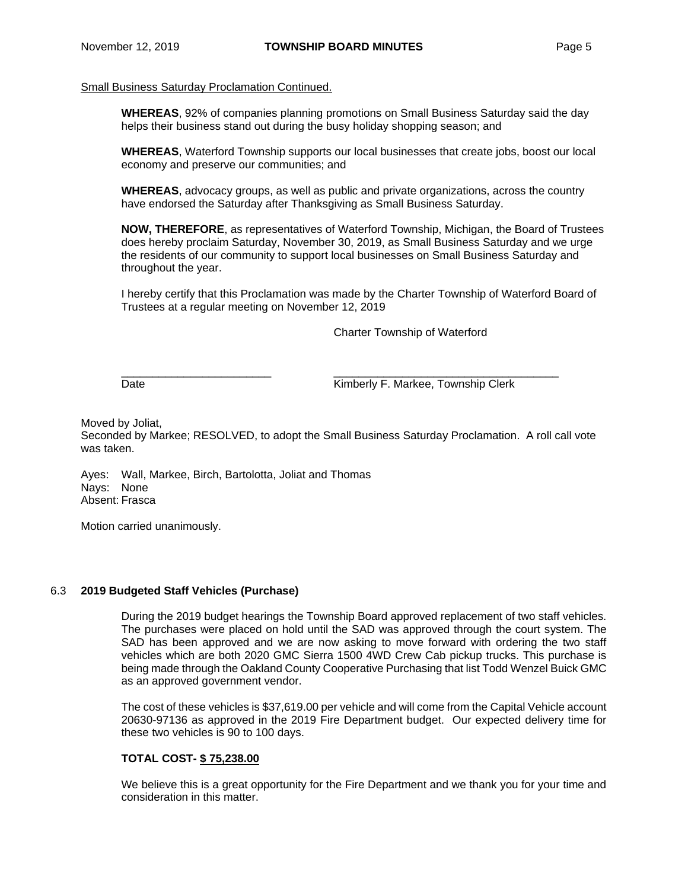## Small Business Saturday Proclamation Continued.

**WHEREAS**, 92% of companies planning promotions on Small Business Saturday said the day helps their business stand out during the busy holiday shopping season; and

**WHEREAS**, Waterford Township supports our local businesses that create jobs, boost our local economy and preserve our communities; and

**WHEREAS**, advocacy groups, as well as public and private organizations, across the country have endorsed the Saturday after Thanksgiving as Small Business Saturday.

**NOW, THEREFORE**, as representatives of Waterford Township, Michigan, the Board of Trustees does hereby proclaim Saturday, November 30, 2019, as Small Business Saturday and we urge the residents of our community to support local businesses on Small Business Saturday and throughout the year.

I hereby certify that this Proclamation was made by the Charter Township of Waterford Board of Trustees at a regular meeting on November 12, 2019

Charter Township of Waterford

 $\frac{1}{2}$  ,  $\frac{1}{2}$  ,  $\frac{1}{2}$  ,  $\frac{1}{2}$  ,  $\frac{1}{2}$  ,  $\frac{1}{2}$  ,  $\frac{1}{2}$  ,  $\frac{1}{2}$  ,  $\frac{1}{2}$  ,  $\frac{1}{2}$  ,  $\frac{1}{2}$  ,  $\frac{1}{2}$  ,  $\frac{1}{2}$  ,  $\frac{1}{2}$  ,  $\frac{1}{2}$  ,  $\frac{1}{2}$  ,  $\frac{1}{2}$  ,  $\frac{1}{2}$  ,  $\frac{1$ Date **Date** Kimberly F. Markee, Township Clerk

Moved by Joliat,

Seconded by Markee; RESOLVED, to adopt the Small Business Saturday Proclamation. A roll call vote was taken.

Ayes: Wall, Markee, Birch, Bartolotta, Joliat and Thomas Nays: None Absent: Frasca

Motion carried unanimously.

## 6.3 **2019 Budgeted Staff Vehicles (Purchase)**

During the 2019 budget hearings the Township Board approved replacement of two staff vehicles. The purchases were placed on hold until the SAD was approved through the court system. The SAD has been approved and we are now asking to move forward with ordering the two staff vehicles which are both 2020 GMC Sierra 1500 4WD Crew Cab pickup trucks. This purchase is being made through the Oakland County Cooperative Purchasing that list Todd Wenzel Buick GMC as an approved government vendor.

The cost of these vehicles is \$37,619.00 per vehicle and will come from the Capital Vehicle account 20630-97136 as approved in the 2019 Fire Department budget. Our expected delivery time for these two vehicles is 90 to 100 days.

# **TOTAL COST- \$ 75,238.00**

We believe this is a great opportunity for the Fire Department and we thank you for your time and consideration in this matter.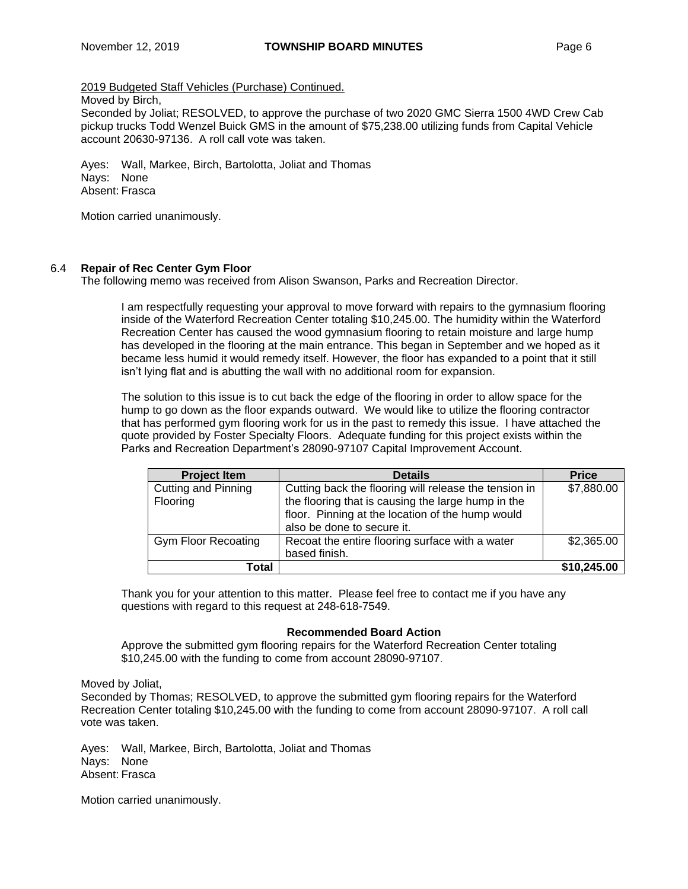## 2019 Budgeted Staff Vehicles (Purchase) Continued.

## Moved by Birch,

Seconded by Joliat; RESOLVED, to approve the purchase of two 2020 GMC Sierra 1500 4WD Crew Cab pickup trucks Todd Wenzel Buick GMS in the amount of \$75,238.00 utilizing funds from Capital Vehicle account 20630-97136. A roll call vote was taken.

Ayes: Wall, Markee, Birch, Bartolotta, Joliat and Thomas Nays: None Absent: Frasca

Motion carried unanimously.

## 6.4 **Repair of Rec Center Gym Floor**

The following memo was received from Alison Swanson, Parks and Recreation Director.

I am respectfully requesting your approval to move forward with repairs to the gymnasium flooring inside of the Waterford Recreation Center totaling \$10,245.00. The humidity within the Waterford Recreation Center has caused the wood gymnasium flooring to retain moisture and large hump has developed in the flooring at the main entrance. This began in September and we hoped as it became less humid it would remedy itself. However, the floor has expanded to a point that it still isn't lying flat and is abutting the wall with no additional room for expansion.

The solution to this issue is to cut back the edge of the flooring in order to allow space for the hump to go down as the floor expands outward. We would like to utilize the flooring contractor that has performed gym flooring work for us in the past to remedy this issue. I have attached the quote provided by Foster Specialty Floors. Adequate funding for this project exists within the Parks and Recreation Department's 28090-97107 Capital Improvement Account.

| <b>Project Item</b>             | <b>Details</b>                                                                                                                                                                                | <b>Price</b> |
|---------------------------------|-----------------------------------------------------------------------------------------------------------------------------------------------------------------------------------------------|--------------|
| Cutting and Pinning<br>Flooring | Cutting back the flooring will release the tension in<br>the flooring that is causing the large hump in the<br>floor. Pinning at the location of the hump would<br>also be done to secure it. | \$7,880.00   |
| <b>Gym Floor Recoating</b>      | Recoat the entire flooring surface with a water<br>based finish.                                                                                                                              | \$2,365.00   |
| Total                           |                                                                                                                                                                                               | \$10,245.00  |

Thank you for your attention to this matter. Please feel free to contact me if you have any questions with regard to this request at 248-618-7549.

## **Recommended Board Action**

Approve the submitted gym flooring repairs for the Waterford Recreation Center totaling \$10,245.00 with the funding to come from account 28090-97107.

Moved by Joliat,

Seconded by Thomas; RESOLVED, to approve the submitted gym flooring repairs for the Waterford Recreation Center totaling \$10,245.00 with the funding to come from account 28090-97107. A roll call vote was taken.

Ayes: Wall, Markee, Birch, Bartolotta, Joliat and Thomas Nays: None Absent: Frasca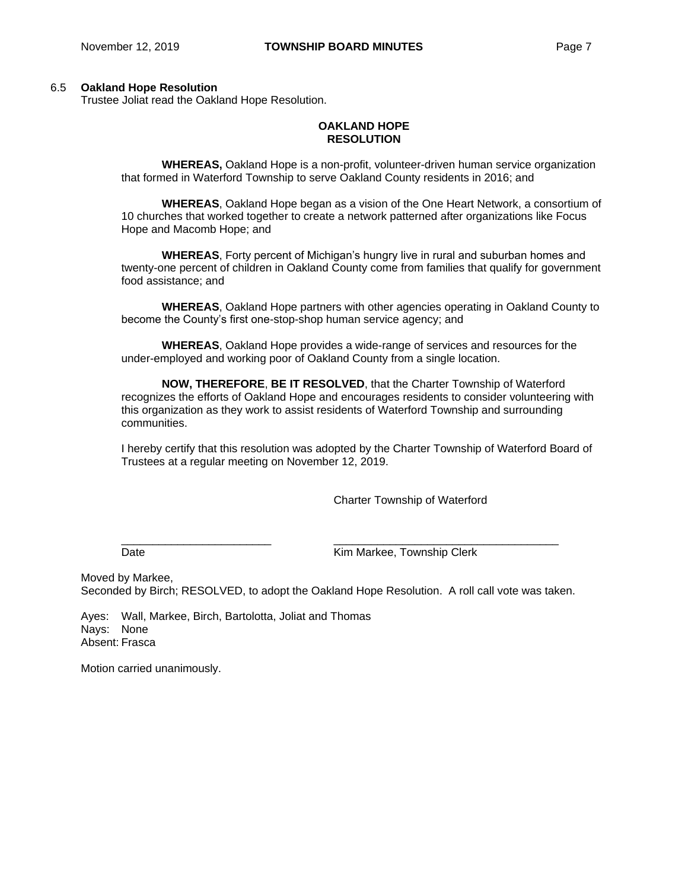#### 6.5 **Oakland Hope Resolution**

Trustee Joliat read the Oakland Hope Resolution.

## **OAKLAND HOPE RESOLUTION**

**WHEREAS,** Oakland Hope is a non-profit, volunteer-driven human service organization that formed in Waterford Township to serve Oakland County residents in 2016; and

**WHEREAS**, Oakland Hope began as a vision of the One Heart Network, a consortium of 10 churches that worked together to create a network patterned after organizations like Focus Hope and Macomb Hope; and

**WHEREAS**, Forty percent of Michigan's hungry live in rural and suburban homes and twenty-one percent of children in Oakland County come from families that qualify for government food assistance; and

**WHEREAS**, Oakland Hope partners with other agencies operating in Oakland County to become the County's first one-stop-shop human service agency; and

**WHEREAS**, Oakland Hope provides a wide-range of services and resources for the under-employed and working poor of Oakland County from a single location.

**NOW, THEREFORE**, **BE IT RESOLVED**, that the Charter Township of Waterford recognizes the efforts of Oakland Hope and encourages residents to consider volunteering with this organization as they work to assist residents of Waterford Township and surrounding communities.

I hereby certify that this resolution was adopted by the Charter Township of Waterford Board of Trustees at a regular meeting on November 12, 2019.

Charter Township of Waterford

Date **Date Contract Contract Contract Contract Contract Contract Contract Contract Contract Contract Contract Contract Contract Contract Contract Contract Contract Contract Contract Contract Contract Contract Contract Co** 

Moved by Markee, Seconded by Birch; RESOLVED, to adopt the Oakland Hope Resolution. A roll call vote was taken.

 $\frac{1}{2}$  ,  $\frac{1}{2}$  ,  $\frac{1}{2}$  ,  $\frac{1}{2}$  ,  $\frac{1}{2}$  ,  $\frac{1}{2}$  ,  $\frac{1}{2}$  ,  $\frac{1}{2}$  ,  $\frac{1}{2}$  ,  $\frac{1}{2}$  ,  $\frac{1}{2}$  ,  $\frac{1}{2}$  ,  $\frac{1}{2}$  ,  $\frac{1}{2}$  ,  $\frac{1}{2}$  ,  $\frac{1}{2}$  ,  $\frac{1}{2}$  ,  $\frac{1}{2}$  ,  $\frac{1$ 

Ayes: Wall, Markee, Birch, Bartolotta, Joliat and Thomas Nays: None Absent: Frasca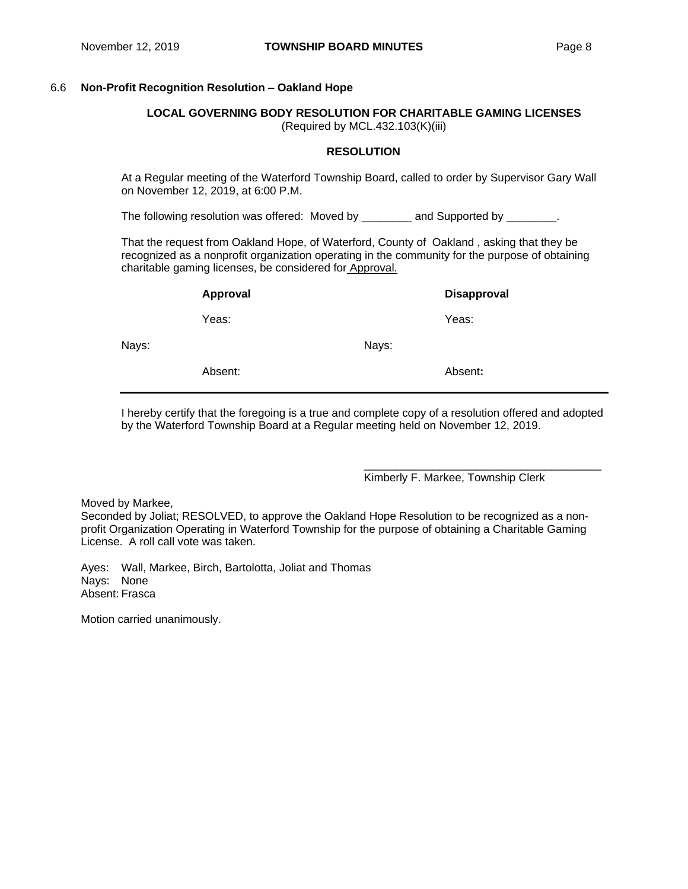# 6.6 **Non-Profit Recognition Resolution – Oakland Hope**

**LOCAL GOVERNING BODY RESOLUTION FOR CHARITABLE GAMING LICENSES** (Required by MCL.432.103(K)(iii)

## **RESOLUTION**

At a Regular meeting of the Waterford Township Board, called to order by Supervisor Gary Wall on November 12, 2019, at 6:00 P.M.

The following resolution was offered: Moved by \_\_\_\_\_\_\_\_ and Supported by \_\_\_\_\_\_\_.

That the request from Oakland Hope, of Waterford, County of Oakland , asking that they be recognized as a nonprofit organization operating in the community for the purpose of obtaining charitable gaming licenses, be considered for Approval.

|       | Approval |       | <b>Disapproval</b> |
|-------|----------|-------|--------------------|
|       | Yeas:    |       | Yeas:              |
| Nays: |          | Nays: |                    |
|       | Absent:  |       | Absent:            |
|       |          |       |                    |

I hereby certify that the foregoing is a true and complete copy of a resolution offered and adopted by the Waterford Township Board at a Regular meeting held on November 12, 2019.

Kimberly F. Markee, Township Clerk

\_\_\_\_\_\_\_\_\_\_\_\_\_\_\_\_\_\_\_\_\_\_\_\_\_\_\_\_\_\_\_\_\_\_\_\_\_\_

Moved by Markee,

Seconded by Joliat; RESOLVED, to approve the Oakland Hope Resolution to be recognized as a nonprofit Organization Operating in Waterford Township for the purpose of obtaining a Charitable Gaming License. A roll call vote was taken.

Ayes: Wall, Markee, Birch, Bartolotta, Joliat and Thomas Nays: None Absent: Frasca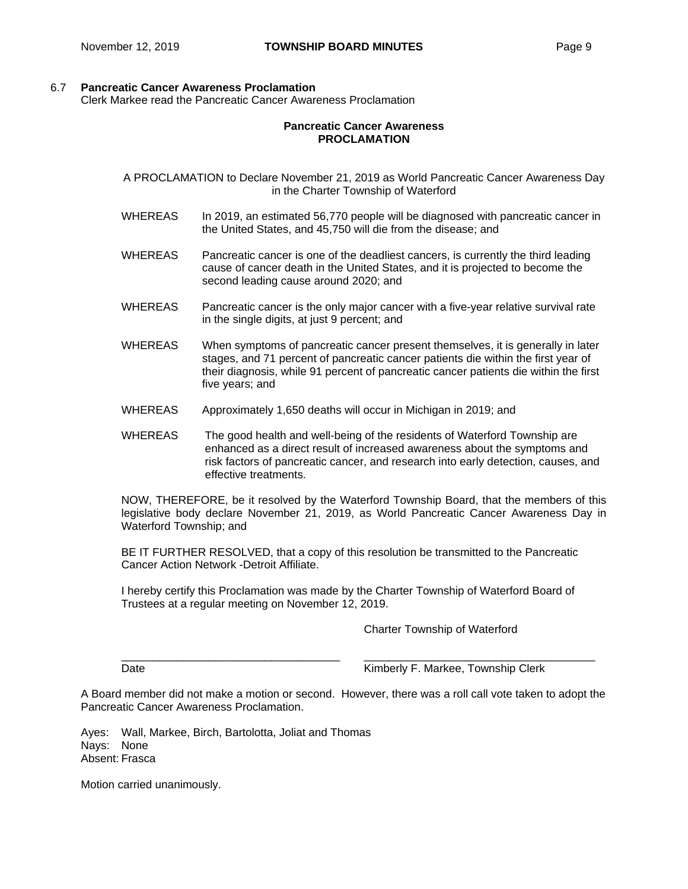## 6.7 **Pancreatic Cancer Awareness Proclamation**

Clerk Markee read the Pancreatic Cancer Awareness Proclamation

## **Pancreatic Cancer Awareness PROCLAMATION**

A PROCLAMATION to Declare November 21, 2019 as World Pancreatic Cancer Awareness Day in the Charter Township of Waterford

- WHEREAS In 2019, an estimated 56,770 people will be diagnosed with pancreatic cancer in the United States, and 45,750 will die from the disease; and
- WHEREAS Pancreatic cancer is one of the deadliest cancers, is currently the third leading cause of cancer death in the United States, and it is projected to become the second leading cause around 2020; and
- WHEREAS Pancreatic cancer is the only major cancer with a five-year relative survival rate in the single digits, at just 9 percent; and
- WHEREAS When symptoms of pancreatic cancer present themselves, it is generally in later stages, and 71 percent of pancreatic cancer patients die within the first year of their diagnosis, while 91 percent of pancreatic cancer patients die within the first five years; and
- WHEREAS Approximately 1,650 deaths will occur in Michigan in 2019; and
- WHEREAS The good health and well-being of the residents of Waterford Township are enhanced as a direct result of increased awareness about the symptoms and risk factors of pancreatic cancer, and research into early detection, causes, and effective treatments.

NOW, THEREFORE, be it resolved by the Waterford Township Board, that the members of this legislative body declare November 21, 2019, as World Pancreatic Cancer Awareness Day in Waterford Township; and

BE IT FURTHER RESOLVED, that a copy of this resolution be transmitted to the Pancreatic Cancer Action Network -Detroit Affiliate.

I hereby certify this Proclamation was made by the Charter Township of Waterford Board of Trustees at a regular meeting on November 12, 2019.

 $\Box$ 

Charter Township of Waterford

Date **Communist Clerk** Kimberly F. Markee, Township Clerk

A Board member did not make a motion or second. However, there was a roll call vote taken to adopt the Pancreatic Cancer Awareness Proclamation.

Ayes: Wall, Markee, Birch, Bartolotta, Joliat and Thomas Nays: None Absent: Frasca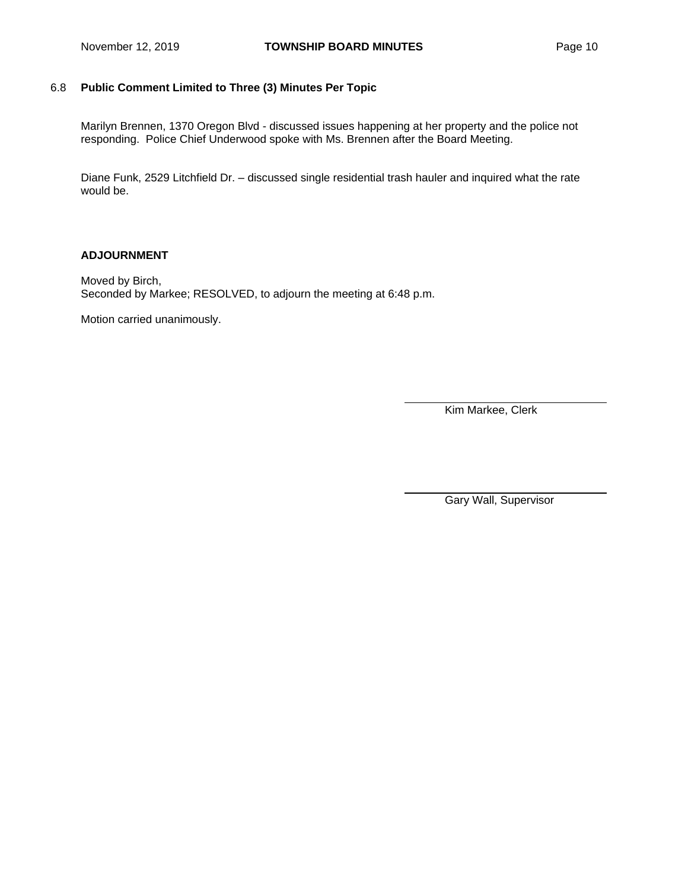# 6.8 **Public Comment Limited to Three (3) Minutes Per Topic**

Marilyn Brennen, 1370 Oregon Blvd - discussed issues happening at her property and the police not responding. Police Chief Underwood spoke with Ms. Brennen after the Board Meeting.

Diane Funk, 2529 Litchfield Dr. – discussed single residential trash hauler and inquired what the rate would be.

## **ADJOURNMENT**

Moved by Birch, Seconded by Markee; RESOLVED, to adjourn the meeting at 6:48 p.m.

Motion carried unanimously.

Kim Markee, Clerk

Gary Wall, Supervisor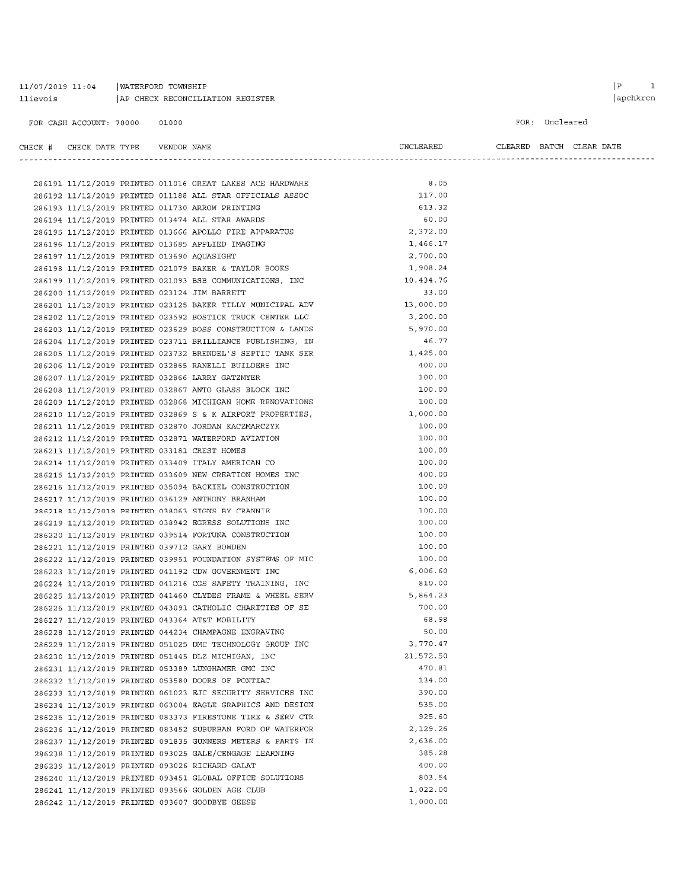## $11/07/2019$  11:04 | WATERFORD TOWNSHIP  $[{\small \texttt{AP} \texttt{CHECK} \texttt{RECONCLIATION REGISTER} }$

#### FOR: Uncleared

#### $\begin{tabular}{lllllll} \bf CHECK & \tt H & \tt CHECK & \tt DATE & \tt YFPE & \tt VENDOR & \tt NAME \end{tabular}$

| CLEARED BATCH CLEAR DATE |  |  |
|--------------------------|--|--|

**UNCLEARED** 

|                                            |  |                                                                                                     | 8.05      |
|--------------------------------------------|--|-----------------------------------------------------------------------------------------------------|-----------|
|                                            |  | 286191 11/12/2019 PRINTED 011016 GREAT LAKES ACE HARDWARE                                           | 117.00    |
|                                            |  | 286192 11/12/2019 PRINTED 011188 ALL STAR OFFICIALS ASSOC                                           | 613.32    |
|                                            |  | 286193 11/12/2019 PRINTED 011730 ARROW PRINTING<br>286194 11/12/2019 PRINTED 013474 ALL STAR AWARDS | 60.00     |
|                                            |  | 286195 11/12/2019 PRINTED 013666 APOLLO FIRE APPARATUS                                              | 2,372.00  |
|                                            |  |                                                                                                     | 1,466.17  |
|                                            |  | 286196 11/12/2019 PRINTED 013685 APPLIED IMAGING                                                    | 2,700.00  |
| 286197 11/12/2019 PRINTED 013690 AQUASIGHT |  |                                                                                                     | 1,908.24  |
|                                            |  | 286198 11/12/2019 PRINTED 021079 BAKER & TAYLOR BOOKS                                               |           |
|                                            |  | 286199 11/12/2019 PRINTED 021093 BSB COMMUNICATIONS, INC                                            | 10,434.76 |
|                                            |  | 286200 11/12/2019 PRINTED 023124 JIM BARRETT                                                        | 33.00     |
|                                            |  | 286201 11/12/2019 PRINTED 023125 BAKER TILLY MUNICIPAL ADV                                          | 13,000.00 |
|                                            |  | 286202 11/12/2019 PRINTED 023592 BOSTICK TRUCK CENTER LLC                                           | 3,200.00  |
|                                            |  | 286203 11/12/2019 PRINTED 023629 BOSS CONSTRUCTION & LANDS                                          | 5,970.00  |
|                                            |  | 286204 11/12/2019 PRINTED 023711 BRILLIANCE PUBLISHING, IN                                          | 46.77     |
|                                            |  | 286205 11/12/2019 PRINTED 023732 BRENDEL'S SEPTIC TANK SER                                          | 1,425.00  |
|                                            |  | 286206 11/12/2019 PRINTED 032865 RANELLI BUILDERS INC                                               | 400.00    |
|                                            |  | 286207 11/12/2019 PRINTED 032866 LARRY GATZMYER                                                     | 100.00    |
|                                            |  | 286208 11/12/2019 PRINTED 032867 ANTO GLASS BLOCK INC                                               | 100.00    |
|                                            |  | 286209 11/12/2019 PRINTED 032868 MICHIGAN HOME RENOVATIONS                                          | 100.00    |
|                                            |  | 286210 11/12/2019 PRINTED 032869 S & K AIRPORT PROPERTIES,                                          | 1,000.00  |
|                                            |  | 286211 11/12/2019 PRINTED 032870 JORDAN KACZMARCZYK                                                 | 100.00    |
|                                            |  | 286212 11/12/2019 PRINTED 032871 WATERFORD AVIATION                                                 | 100.00    |
|                                            |  | 286213 11/12/2019 PRINTED 033181 CREST HOMES                                                        | 100.00    |
|                                            |  | 286214 11/12/2019 PRINTED 033409 ITALY AMERICAN CO                                                  | 100.00    |
|                                            |  | 286215 11/12/2019 PRINTED 033609 NEW CREATION HOMES INC                                             | 400.00    |
|                                            |  | 286216 11/12/2019 PRINTED 035094 BACKIEL CONSTRUCTION                                               | 100.00    |
|                                            |  | 286217 11/12/2019 PRINTED 036129 ANTHONY BRANHAM                                                    | 100.00    |
|                                            |  | 286218 11/12/2019 PRINTED 038063 SIGNS BY CRANNIE                                                   | 100.00    |
|                                            |  | 286219 11/12/2019 PRINTED 038942 EGRESS SOLUTIONS INC                                               | 100.00    |
|                                            |  | 286220 11/12/2019 PRINTED 039514 FORTUNA CONSTRUCTION                                               | 100.00    |
|                                            |  | 286221 11/12/2019 PRINTED 039712 GARY BOWDEN                                                        | 100.00    |
|                                            |  | 286222 11/12/2019 PRINTED 039951 FOUNDATION SYSTEMS OF MIC                                          | 100.00    |
|                                            |  | 286223 11/12/2019 PRINTED 041192 CDW GOVERNMENT INC                                                 | 6,006.60  |
|                                            |  | 286224 11/12/2019 PRINTED 041216 CGS SAFETY TRAINING, INC                                           | 810.00    |
|                                            |  |                                                                                                     | 5,864.23  |
|                                            |  | 286225 11/12/2019 PRINTED 041460 CLYDES FRAME & WHEEL SERV                                          | 700.00    |
|                                            |  | 286226 11/12/2019 PRINTED 043091 CATHOLIC CHARITIES OF SE                                           |           |
|                                            |  | 286227 11/12/2019 PRINTED 043364 AT&T MOBILITY                                                      | 68.98     |
|                                            |  | 286228 11/12/2019 PRINTED 044234 CHAMPAGNE ENGRAVING                                                | 50.00     |
|                                            |  | 286229 11/12/2019 PRINTED 051025 DMC TECHNOLOGY GROUP INC                                           | 3,770.47  |
|                                            |  | 286230 11/12/2019 PRINTED 051445 DLZ MICHIGAN, INC                                                  | 21,572.50 |
|                                            |  | 286231 11/12/2019 PRINTED 053389 LUNGHAMER GMC INC                                                  | 470.81    |
|                                            |  | 286232 11/12/2019 PRINTED 053580 DOORS OF PONTIAC                                                   | 134.00    |
|                                            |  | 286233 11/12/2019 PRINTED 061023 EJC SECURITY SERVICES INC                                          | 390.00    |
|                                            |  | 286234 11/12/2019 PRINTED 063004 EAGLE GRAPHICS AND DESIGN                                          | 535.00    |
|                                            |  | 286235 11/12/2019 PRINTED 083373 FIRESTONE TIRE & SERV CTR                                          | 925.60    |
|                                            |  | 286236 11/12/2019 PRINTED 083452 SUBURBAN FORD OF WATERFOR                                          | 2,129.26  |
|                                            |  | 286237 11/12/2019 PRINTED 091835 GUNNERS METERS & PARTS IN                                          | 2,636.00  |
|                                            |  | 286238 11/12/2019 PRINTED 093025 GALE/CENGAGE LEARNING                                              | 385.28    |
|                                            |  | 286239 11/12/2019 PRINTED 093026 RICHARD GALAT                                                      | 400.00    |
|                                            |  | 286240 11/12/2019 PRINTED 093451 GLOBAL OFFICE SOLUTIONS                                            | 803.54    |
|                                            |  | 286241 11/12/2019 PRINTED 093566 GOLDEN AGE CLUB                                                    | 1,022.00  |
|                                            |  | 286242 11/12/2019 PRINTED 093607 GOODBYE GEESE                                                      | 1,000.00  |
|                                            |  |                                                                                                     |           |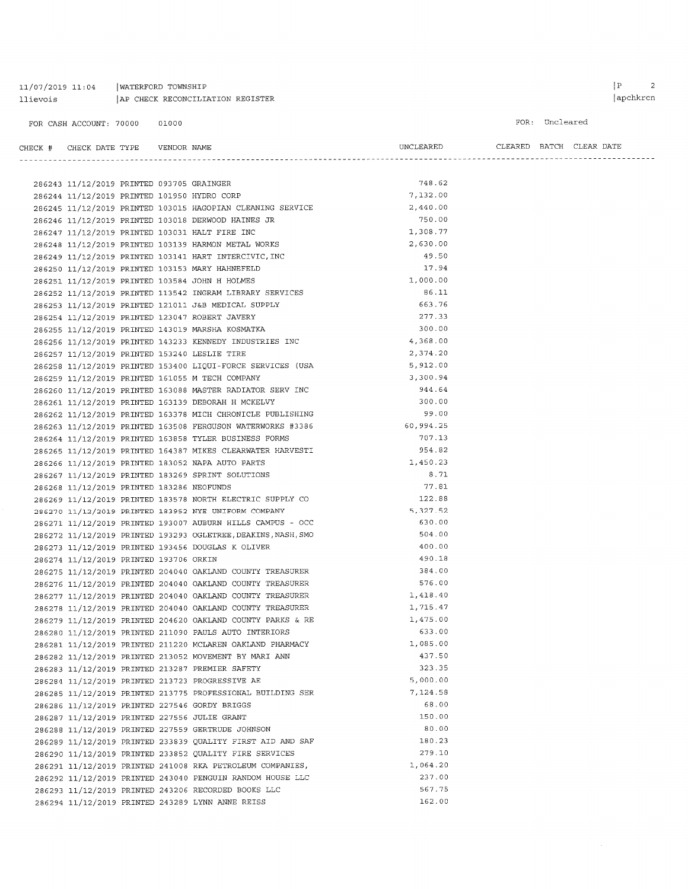#### $11/07/2019$   $11:04$  | WATERFORD TOWNSHIP llievois | AP CHECK RECONCILIATION REGISTER

FOR CASH ACCOUNT: 70000 01000

FOR: Uncleared

CHECK  $#$  CHECK DATE TYPE VENDOR NAME  $\begin{minipage}{0.9\linewidth} \textbf{ULEAREN} \end{minipage} \begin{minipage}{0.9\linewidth} \textbf{LEAREN} \end{minipage} \begin{minipage}{0.9\linewidth} \textbf{LEAREN} \end{minipage} \begin{minipage}{0.9\linewidth} \textbf{LEAREN} \end{minipage} \begin{minipage}{0.9\linewidth} \textbf{LEARD} \end{minipage} \begin{minipage}{0.9\linewidth} \textbf{LEARD} \end{minipage} \begin{minipage}{0.9\linewidth} \textbf{LEARD} \end{minipage} \begin{minipage}{0.9\linewidth} \textbf{LEARD} \end{$ 

| 286243 11/12/2019 PRINTED 093705 GRAINGER   |  |                                                               | 748.62    |
|---------------------------------------------|--|---------------------------------------------------------------|-----------|
| 286244 11/12/2019 PRINTED 101950 HYDRO CORP |  |                                                               | 7,132.00  |
|                                             |  | 286245 11/12/2019 PRINTED 103015 HAGOPIAN CLEANING SERVICE    | 2,440.00  |
|                                             |  | 286246 11/12/2019 PRINTED 103018 DERWOOD HAINES JR            | 750.00    |
|                                             |  | 286247 11/12/2019 PRINTED 103031 HALT FIRE INC                | 1,308.77  |
|                                             |  | 286248 11/12/2019 PRINTED 103139 HARMON METAL WORKS           | 2,630.00  |
|                                             |  | 286249 11/12/2019 PRINTED 103141 HART INTERCIVIC, INC         | 49.50     |
|                                             |  | 286250 11/12/2019 PRINTED 103153 MARY HAHNEFELD               | 17.94     |
|                                             |  | 286251 11/12/2019 PRINTED 103584 JOHN H HOLMES                | 1,000.00  |
|                                             |  | 286252 11/12/2019 PRINTED 113542 INGRAM LIBRARY SERVICES      | 86.11     |
|                                             |  | 286253 11/12/2019 PRINTED 121011 J&B MEDICAL SUPPLY           | 663.76    |
|                                             |  | 286254 11/12/2019 PRINTED 123047 ROBERT JAVERY                | 277.33    |
|                                             |  | 286255 11/12/2019 PRINTED 143019 MARSHA KOSMATKA              | 300.00    |
|                                             |  | 286256 11/12/2019 PRINTED 143233 KENNEDY INDUSTRIES INC       | 4,368.00  |
|                                             |  | 286257 11/12/2019 PRINTED 153240 LESLIE TIRE                  | 2,374.20  |
|                                             |  | 286258 11/12/2019 PRINTED 153400 LIQUI-FORCE SERVICES (USA    | 5,912.00  |
|                                             |  | 286259 11/12/2019 PRINTED 161055 M TECH COMPANY               | 3,300.94  |
|                                             |  | 286260 11/12/2019 PRINTED 163088 MASTER RADIATOR SERV INC     | 944.64    |
|                                             |  | 286261 11/12/2019 PRINTED 163139 DEBORAH H MCKELVY            | 300.00    |
|                                             |  | 286262 11/12/2019 PRINTED 163378 MICH CHRONICLE PUBLISHING    | 99.00     |
|                                             |  | 286263 11/12/2019 PRINTED 163508 FERGUSON WATERWORKS #3386    | 60,994.25 |
|                                             |  | 286264 11/12/2019 PRINTED 163858 TYLER BUSINESS FORMS         | 707.13    |
|                                             |  | 286265 11/12/2019 PRINTED 164387 MIKES CLEARWATER HARVESTI    | 954.82    |
|                                             |  | 286266 11/12/2019 PRINTED 183052 NAPA AUTO PARTS              | 1,450.23  |
|                                             |  | 286267 11/12/2019 PRINTED 183269 SPRINT SOLUTIONS             | 8.71      |
| 286268 11/12/2019 PRINTED 183286 NEOFUNDS   |  |                                                               | 77.81     |
|                                             |  | 286269 11/12/2019 PRINTED 183578 NORTH ELECTRIC SUPPLY CO     | 122.88    |
|                                             |  | 286270 11/12/2019 PRINTED 183952 NYE UNIFORM COMPANY          | 5,327.52  |
|                                             |  | 286271 11/12/2019 PRINTED 193007 AUBURN HILLS CAMPUS - OCC    | 630.00    |
|                                             |  | 286272 11/12/2019 PRINTED 193293 OGLETREE, DEAKINS, NASH, SMO | 504.00    |
|                                             |  | 286273 11/12/2019 PRINTED 193456 DOUGLAS K OLIVER             | 400.00    |
| 286274 11/12/2019 PRINTED 193706 ORKIN      |  |                                                               | 490.18    |
|                                             |  | 286275 11/12/2019 PRINTED 204040 OAKLAND COUNTY TREASURER     | 384.00    |
|                                             |  | 286276 11/12/2019 PRINTED 204040 OAKLAND COUNTY TREASURER     | 576.00    |
|                                             |  | 286277 11/12/2019 PRINTED 204040 OAKLAND COUNTY TREASURER     | 1,418.40  |
|                                             |  | 286278 11/12/2019 PRINTED 204040 OAKLAND COUNTY TREASURER     | 1,715.47  |
|                                             |  | 286279 11/12/2019 PRINTED 204620 OAKLAND COUNTY PARKS & RE    | 1,475.00  |
|                                             |  | 286280 11/12/2019 PRINTED 211090 PAULS AUTO INTERIORS         | 633.00    |
|                                             |  | 286281 11/12/2019 PRINTED 211220 MCLAREN OAKLAND PHARMACY     | 1,085.00  |
|                                             |  | 286282 11/12/2019 PRINTED 213052 MOVEMENT BY MARI ANN         | 437.50    |
|                                             |  | 286283 11/12/2019 PRINTED 213287 PREMIER SAFETY               | 323.35    |
|                                             |  | 286284 11/12/2019 PRINTED 213723 PROGRESSIVE AE               | 5,000.00  |
|                                             |  | 286285 11/12/2019 PRINTED 213775 PROFESSIONAL BUILDING SER    | 7,124.58  |
|                                             |  | 286286 11/12/2019 PRINTED 227546 GORDY BRIGGS                 | 68.00     |
|                                             |  | 286287 11/12/2019 PRINTED 227556 JULIE GRANT                  | 150.00    |
|                                             |  | 286288 11/12/2019 PRINTED 227559 GERTRUDE JOHNSON             | 80.00     |
|                                             |  | 286289 11/12/2019 PRINTED 233839 QUALITY FIRST AID AND SAF    | 180.23    |
|                                             |  | 286290 11/12/2019 PRINTED 233852 QUALITY FIRE SERVICES        | 279.10    |
|                                             |  | 286291 11/12/2019 PRINTED 241008 RKA PETROLEUM COMPANIES,     | 1,064.20  |
|                                             |  | 286292 11/12/2019 PRINTED 243040 PENGUIN RANDOM HOUSE LLC     | 237.00    |
|                                             |  | 286293 11/12/2019 PRINTED 243206 RECORDED BOOKS LLC           | 567.75    |
|                                             |  | 286294 11/12/2019 PRINTED 243289 LYNN ANNE REISS              | 162.00    |
|                                             |  |                                                               |           |

 $\begin{array}{ccc} \mid & \text{P} & \text{ } & \text{ } & \text{ } \text{ } \\ \end{array}$  $|apchkrcn$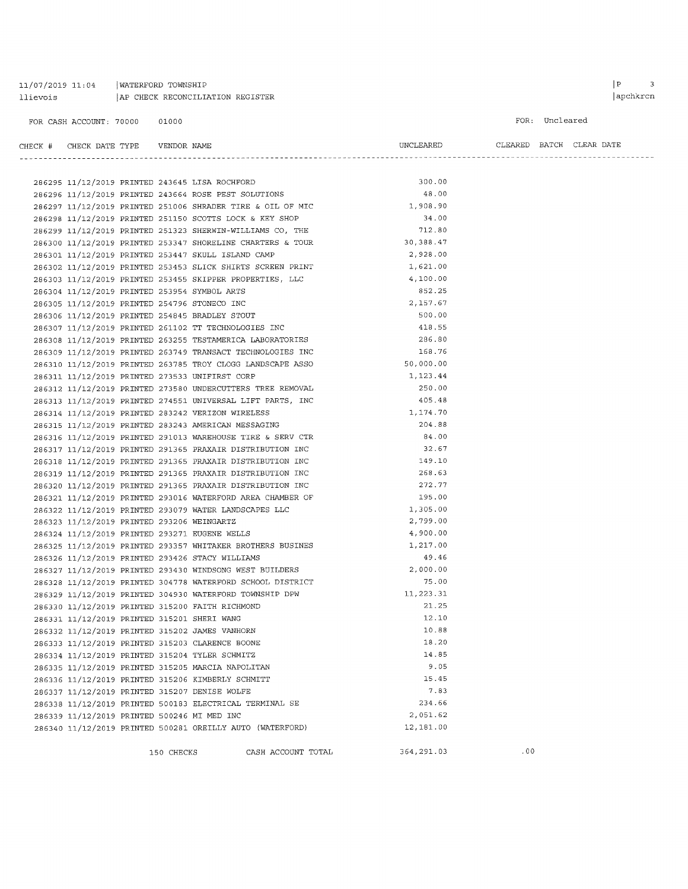# $11/07/2019$  11:04 | WATERFORD TOWNSHIP llievois | AP CHECK RECONCILIATION REGISTER

FOR: Uncleared

| CHECK # CHECK DATE TYPE    VENDOR NAME       |  |                                                                                                                                                                        | UNCLEARED CLEARED BATCH CLEAR DATE |  |  |
|----------------------------------------------|--|------------------------------------------------------------------------------------------------------------------------------------------------------------------------|------------------------------------|--|--|
|                                              |  |                                                                                                                                                                        |                                    |  |  |
|                                              |  |                                                                                                                                                                        | 300.00                             |  |  |
|                                              |  | 286296 11/12/2019 PRINTED 243664 ROSE PEST SOLUTIONS<br>286297 11/12/2019 PRINTED 243664 ROSE PEST SOLUTIONS                                                           | 48.00                              |  |  |
|                                              |  | 286297 11/12/2019 PRINTED 251006 SHRADER TIRE & OIL OF MIC 1,908.90                                                                                                    |                                    |  |  |
|                                              |  | 286298 11/12/2019 PRINTED 251150 SCOTTS LOCK & KEY SHOP                                                                                                                | 34.00                              |  |  |
|                                              |  | 286299 11/12/2019 PRINTED 251323 SHERWIN-WILLIAMS CO, THE                                                                                                              | 712.80                             |  |  |
|                                              |  |                                                                                                                                                                        | 30, 388.47                         |  |  |
|                                              |  | 286300 11/12/2019 PRINTED 253347 SHORELINE CHARTERS & TOUR<br>286201 11/12/2019 PRINTED 252447 SKULL ISLAND CAMP<br>286301 11/12/2019 PRINTED 253447 SKULL ISLAND CAMP | 2,928.00                           |  |  |
|                                              |  | 286302 11/12/2019 PRINTED 253453 SLICK SHIRTS SCREEN PRINT                                                                                                             | 1,621.00                           |  |  |
|                                              |  | 286303 11/12/2019 PRINTED 253455 SKIPPER PROPERTIES, LLC                                                                                                               | 4,100.00                           |  |  |
| 286304 11/12/2019 PRINTED 253954 SYMBOL ARTS |  |                                                                                                                                                                        | 852.25                             |  |  |
| 286305 11/12/2019 PRINTED 254796 STONECO INC |  |                                                                                                                                                                        | 2,157.67                           |  |  |
|                                              |  | 286306 11/12/2019 PRINTED 254845 BRADLEY STOUT                                                                                                                         | 500.00                             |  |  |
|                                              |  | 286307 11/12/2019 PRINTED 261102 TT TECHNOLOGIES INC                                                                                                                   | 418.55                             |  |  |
|                                              |  | 286308 11/12/2019 PRINTED 263255 TESTAMERICA LABORATORIES                                                                                                              | 286.80                             |  |  |
|                                              |  | 286309 11/12/2019 PRINTED 263749 TRANSACT TECHNOLOGIES INC                                                                                                             | 168.76                             |  |  |
|                                              |  | 286310 11/12/2019 PRINTED 263785 TROY CLOGG LANDSCAPE ASSO<br>200211 11/12/2019 PRINTED 232533 UNITIEST CORP                                                           | 50,000.00                          |  |  |
|                                              |  | 286311 11/12/2019 PRINTED 273533 UNIFIRST CORP                                                                                                                         | 1,123.44                           |  |  |
|                                              |  | 286312 11/12/2019 PRINTED 273580 UNDERCUTTERS TREE REMOVAL                                                                                                             | 250.00                             |  |  |
|                                              |  | 286313 11/12/2019 PRINTED 274551 UNIVERSAL LIFT PARTS, INC                                                                                                             | 405.48                             |  |  |
|                                              |  | 286314 11/12/2019 PRINTED 283242 VERIZON WIRELESS                                                                                                                      | 1,174.70                           |  |  |
|                                              |  | 286315 11/12/2019 PRINTED 283243 AMERICAN MESSAGING                                                                                                                    | 204.88                             |  |  |
|                                              |  | 286316 11/12/2019 PRINTED 291013 WAREHOUSE TIRE & SERV CTR                                                                                                             | 84.00                              |  |  |
|                                              |  | 286317 11/12/2019 PRINTED 291365 PRAXAIR DISTRIBUTION INC                                                                                                              | 32.67                              |  |  |
|                                              |  | 286318 11/12/2019 PRINTED 291365 PRAXAIR DISTRIBUTION INC                                                                                                              | 149.10                             |  |  |
|                                              |  | 286319 11/12/2019 PRINTED 291365 PRAXAIR DISTRIBUTION INC                                                                                                              | 268.63                             |  |  |
|                                              |  | 286320 11/12/2019 PRINTED 291365 PRAXAIR DISTRIBUTION INC                                                                                                              | 272.77                             |  |  |
|                                              |  | 286321 11/12/2019 PRINTED 293016 WATERFORD AREA CHAMBER OF                                                                                                             | 195.00                             |  |  |
|                                              |  | 286322 11/12/2019 PRINTED 293079 WATER LANDSCAPES LLC                                                                                                                  | 1,305.00                           |  |  |
| 286323 11/12/2019 PRINTED 293206 WEINGARTZ   |  |                                                                                                                                                                        | 2,799.00                           |  |  |
|                                              |  | 286324 11/12/2019 PRINTED 293271 EUGENE WELLS                                                                                                                          | 4,900.00                           |  |  |
|                                              |  | 286325 11/12/2019 PRINTED 293357 WHITAKER BROTHERS BUSINES<br>286326 11/12/2019 PRINTED 293426 STACY WILLIAMS                                                          | 1,217.00                           |  |  |
|                                              |  | 286326 11/12/2019 PRINTED 293426 STACY WILLIAMS                                                                                                                        | 49.46                              |  |  |
|                                              |  | 286327 11/12/2019 PRINTED 293430 WINDSONG WEST BUILDERS                                                                                                                | 2,000.00                           |  |  |
|                                              |  | 286328 11/12/2019 PRINTED 304778 WATERFORD SCHOOL DISTRICT                                                                                                             | 75.00                              |  |  |
|                                              |  | 286329 11/12/2019 PRINTED 304930 WATERFORD TOWNSHIP DPW                                                                                                                | 11,223.31                          |  |  |
|                                              |  | 286330 11/12/2019 PRINTED 315200 FAITH RICHMOND                                                                                                                        | 21.25                              |  |  |
| 286331 11/12/2019 PRINTED 315201 SHERI WANG  |  |                                                                                                                                                                        | 12.10                              |  |  |
|                                              |  | 286332 11/12/2019 PRINTED 315202 JAMES VANHORN                                                                                                                         | 10.88                              |  |  |
|                                              |  | 286333 11/12/2019 PRINTED 315203 CLARENCE BOONE                                                                                                                        | 18.20                              |  |  |
|                                              |  | 286334 11/12/2019 PRINTED 315204 TYLER SCHMITZ                                                                                                                         | 14.85                              |  |  |
|                                              |  | 286335 11/12/2019 PRINTED 315205 MARCIA NAPOLITAN                                                                                                                      | 9.05                               |  |  |
|                                              |  | 286336 11/12/2019 PRINTED 315206 KIMBERLY SCHMITT                                                                                                                      | 15.45                              |  |  |
|                                              |  | 286337 11/12/2019 PRINTED 315207 DENISE WOLFE                                                                                                                          | 7.83                               |  |  |
|                                              |  | 286338 11/12/2019 PRINTED 500183 ELECTRICAL TERMINAL SE                                                                                                                | 234.66                             |  |  |
| 286339 11/12/2019 PRINTED 500246 MI MED INC  |  |                                                                                                                                                                        | 2,051.62                           |  |  |
|                                              |  | 286340 11/12/2019 PRINTED 500281 OREILLY AUTO (WATERFORD)                                                                                                              | 12,181.00                          |  |  |
|                                              |  |                                                                                                                                                                        |                                    |  |  |

150 CHECKS CASH ACCOUNT TOTAL 364, 291.03 .00